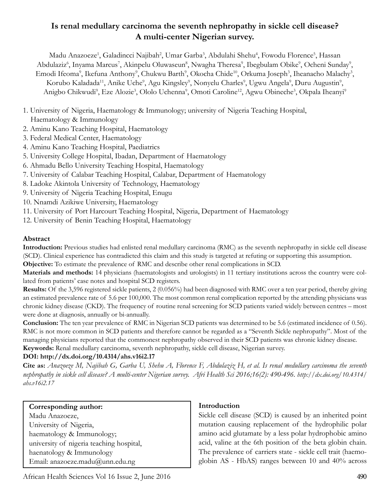# **Is renal medullary carcinoma the seventh nephropathy in sickle cell disease? A multi-center Nigerian survey.**

Madu Anazoeze<sup>1</sup>, Galadincci Najibah<sup>2</sup>, Umar Garba<sup>3</sup>, Abdulahi Shehu<sup>4</sup>, Fowodu Florence<sup>5</sup>, Hassan Abdulaziz<sup>6</sup>, Inyama Marcus<sup>7</sup>, Akinpelu Oluwaseun<sup>8</sup>, Nwagha Theresa<sup>9</sup>, Ibegbulam Obike<sup>9</sup>, Ocheni Sunday<sup>9</sup>, Emodi Ifeoma<sup>9</sup>, Ikefuna Anthony<sup>9</sup>, Chukwu Barth<sup>9</sup>, Okocha Chide<sup>10</sup>, Orkuma Joseph<sup>3</sup>, Iheanacho Malachy<sup>3</sup>, Korubo Kaladada<sup>11</sup>, Anike Uche<sup>9</sup>, Agu Kingsley<sup>9</sup>, Nonyelu Charles<sup>9</sup>, Ugwu Angela<sup>9</sup>, Duru Augustin<sup>9</sup>, Anigbo Chikwudi<sup>9</sup>, Eze Alozie<sup>3</sup>, Ololo Uchenna<sup>9</sup>, Omoti Caroline<sup>12</sup>, Agwu Obineche<sup>3</sup>, Okpala Iheanyi<sup>9</sup>

- 1. University of Nigeria, Haematology & Immunology; university of Nigeria Teaching Hospital, Haematology & Immunology
- 2. Aminu Kano Teaching Hospital, Haematology
- 3. Federal Medical Center, Haematology
- 4. Aminu Kano Teaching Hospital, Paediatrics
- 5. University College Hospital, Ibadan, Department of Haematology
- 6. Ahmadu Bello University Teaching Hospital, Haematology
- 7. University of Calabar Teaching Hospital, Calabar, Department of Haematology
- 8. Ladoke Akintola University of Technology, Haematology
- 9. University of Nigeria Teaching Hospital, Enugu
- 10. Nnamdi Azikiwe University, Haematology
- 11. University of Port Harcourt Teaching Hospital, Nigeria, Department of Haematology
- 12. University of Benin Teaching Hospital, Haematology

## **Abstract**

**Introduction:** Previous studies had enlisted renal medullary carcinoma (RMC) as the seventh nephropathy in sickle cell disease (SCD). Clinical experience has contradicted this claim and this study is targeted at refuting or supporting this assumption.

**Objective:** To estimate the prevalence of RMC and describe other renal complications in SCD.

**Materials and methods:** 14 physicians (haematologists and urologists) in 11 tertiary institutions across the country were collated from patients' case notes and hospital SCD registers.

**Results:** Of the 3,596 registered sickle patients, 2 (0.056%) had been diagnosed with RMC over a ten year period, thereby giving an estimated prevalence rate of 5.6 per 100,000. The most common renal complication reported by the attending physicians was chronic kidney disease (CKD). The frequency of routine renal screening for SCD patients varied widely between centres – most were done at diagnosis, annually or bi-annually.

**Conclusion:** The ten year prevalence of RMC in Nigerian SCD patients was determined to be 5.6 (estimated incidence of 0.56). RMC is not more common in SCD patients and therefore cannot be regarded as a "Seventh Sickle nephropathy". Most of the managing physicians reported that the commonest nephropathy observed in their SCD patients was chronic kidney disease. **Keywords:** Renal medullary carcinoma, seventh nephropathy, sickle cell disease, Nigerian survey.

## **DOI: http://dx.doi.org/10.4314/ahs.v16i2.17**

**Cite as:** *Anazoeze M, Najibah G, Garba U, Shehu A, Florence F, Abdulaziz H, et al. Is renal medullary carcinoma the seventh nephropathy in sickle cell disease? A multi-center Nigerian survey. Afri Health Sci 2016;16(2): 490-496. http://dx.doi.org/10.4314/ ahs.v16i2.17*

**Corresponding author:** Madu Anazoeze, University of Nigeria, haematology & Immunology; university of nigeria teaching hospital, haenatology & Immunology Email: anazoeze.madu@unn.edu.ng

## **Introduction**

Sickle cell disease (SCD) is caused by an inherited point mutation causing replacement of the hydrophilic polar amino acid glutamate by a less polar hydrophobic amino acid, valine at the 6th position of the beta globin chain. The prevalence of carriers state - sickle cell trait (haemoglobin AS - HbAS) ranges between 10 and 40% across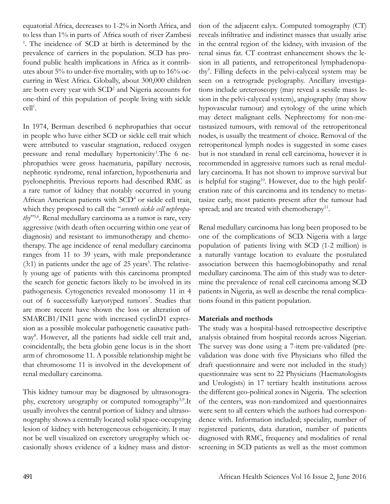equatorial Africa, decreases to 1-2% in North Africa, and to less than 1% in parts of Africa south of river Zambesi <sup>1</sup>. The incidence of SCD at birth is determined by the prevalence of carriers in the population. SCD has profound public health implications in Africa as it contributes about 5% to under-five mortality, with up to 16% occurring in West Africa. Globally, about 300,000 children are born every year with SCD<sup>2</sup> and Nigeria accounts for one-third of this population of people living with sickle cell<sup>1</sup>.

In 1974, Berman described 6 nephropathies that occur in people who have either SCD or sickle cell trait which were attributed to vascular stagnation, reduced oxygen pressure and renal medullary hypertonicity<sup>3</sup>. The 6 nephropathies were gross haematuria, papillary necrosis, nephrotic syndrome, renal infarction, hyposthenuria and pyelonephritis. Previous reports had described RMC as a rare tumor of kidney that notably occurred in young African American patients with SCD<sup>4</sup> or sickle cell trait, which they proposed to call the "*seventh sickle cell nephropathy*"5,6. Renal medullary carcinoma as a tumor is rare, very aggressive (with death often occurring within one year of diagnosis) and resistant to immunotherapy and chemotherapy. The age incidence of renal medullary carcinoma ranges from 11 to 39 years, with male preponderance  $(3:1)$  in patients under the age of 25 years<sup>5</sup>. The relatively young age of patients with this carcinoma prompted the search for genetic factors likely to be involved in its pathogenesis. Cytogenetics revealed monosomy 11 in 4 out of 6 successfully karyotyped tumors<sup>7</sup>. Studies that are more recent have shown the loss or alteration of SMARCB1/INI1 gene with increased cyclinD1 expression as a possible molecular pathogenetic causative pathway<sup>8</sup>. However, all the patients had sickle cell trait and, coincidentally, the beta globin gene locus is in the short arm of chromosome 11. A possible relationship might be that chromosome 11 is involved in the development of renal medullary carcinoma.

This kidney tumour may be diagnosed by ultrasonography, excretory urography or computed tomography5,9.It usually involves the central portion of kidney and ultrasonography shows a centrally located solid space-occupying lesion of kidney with heterogeneous echogenicity. It may not be well visualized on excretory urography which occasionally shows evidence of a kidney mass and distor-

tion of the adjacent calyx. Computed tomography (CT) reveals infiltrative and indistinct masses that usually arise in the central region of the kidney, with invasion of the renal sinus fat. CT contrast enhancement shows the lesion in all patients, and retroperitoneal lymphadenopathy9 . Filling defects in the pelvi-calyceal system may be seen on a retrograde pyelography. Ancillary investigations include ureteroscopy (may reveal a sessile mass lesion in the pelvi-calyceal system), angiography (may show hypovascular tumour) and cytology of the urine which may detect malignant cells. Nephrectomy for non-metastasized tumours, with removal of the retroperitoneal nodes, is usually the treatment of choice. Removal of the retroperitoneal lymph nodes is suggested in some cases but is not standard in renal cell carcinoma, however it is recommended in aggressive tumors such as renal medullary carcinoma. It has not shown to improve survival but is helpful for staging<sup>10</sup>. However, due to the high proliferation rate of this carcinoma and its tendency to metastasize early, most patients present after the tumour had spread; and are treated with chemotherapy<sup>11</sup>.

Renal medullary carcinoma has long been proposed to be one of the complications of SCD. Nigeria with a large population of patients living with SCD (1-2 million) is a naturally vantage location to evaluate the postulated association between this haemoglobinopathy and renal medullary carcinoma. The aim of this study was to determine the prevalence of renal cell carcinoma among SCD patients in Nigeria, as well as describe the renal complications found in this patient population.

#### **Materials and methods**

The study was a hospital-based retrospective descriptive analysis obtained from hospital records across Nigerian. The survey was done using a 7-item pre-validated (prevalidation was done with five Physicians who filled the draft questionnaire and were not included in the study) questionnaire was sent to 22 Physicians (Haematologists and Urologists) in 17 tertiary health institutions across the different geo-political zones in Nigeria. The selection of the centers, was non-randomized and questionnaires were sent to all centers which the authors had correspondence with. Information included; speciality, number of registered patients, data duration, number of patients diagnosed with RMC, frequency and modalities of renal screening in SCD patients as well as the most common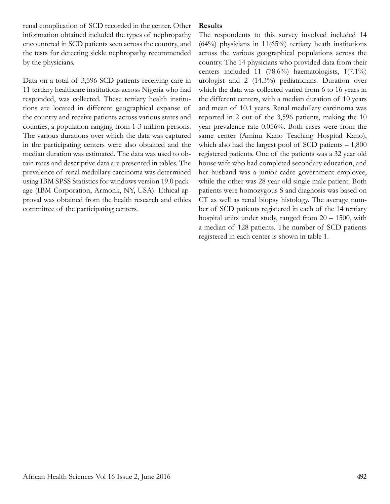renal complication of SCD recorded in the center. Other information obtained included the types of nephropathy encountered in SCD patients seen across the country, and the tests for detecting sickle nephropathy recommended by the physicians.

Data on a total of 3,596 SCD patients receiving care in 11 tertiary healthcare institutions across Nigeria who had responded, was collected. These tertiary health institutions are located in different geographical expanse of the country and receive patients across various states and counties, a population ranging from 1-3 million persons. The various durations over which the data was captured in the participating centers were also obtained and the median duration was estimated. The data was used to obtain rates and descriptive data are presented in tables. The prevalence of renal medullary carcinoma was determined using IBM SPSS Statistics for windows version 19.0 package (IBM Corporation, Armonk, NY, USA). Ethical approval was obtained from the health research and ethics committee of the participating centers.

#### **Results**

The respondents to this survey involved included 14  $(64%)$  physicians in 11 $(65%)$  tertiary heath institutions across the various geographical populations across the country. The 14 physicians who provided data from their centers included 11 (78.6%) haematologists, 1(7.1%) urologist and 2 (14.3%) pediatricians. Duration over which the data was collected varied from 6 to 16 years in the different centers, with a median duration of 10 years and mean of 10.1 years. Renal medullary carcinoma was reported in 2 out of the 3,596 patients, making the 10 year prevalence rate 0.056%. Both cases were from the same center (Aminu Kano Teaching Hospital Kano), which also had the largest pool of SCD patients  $-1,800$ registered patients. One of the patients was a 32 year old house wife who had completed secondary education, and her husband was a junior cadre government employee, while the other was 28 year old single male patient. Both patients were homozygous S and diagnosis was based on CT as well as renal biopsy histology. The average number of SCD patients registered in each of the 14 tertiary hospital units under study, ranged from 20 – 1500, with a median of 128 patients. The number of SCD patients registered in each center is shown in table 1.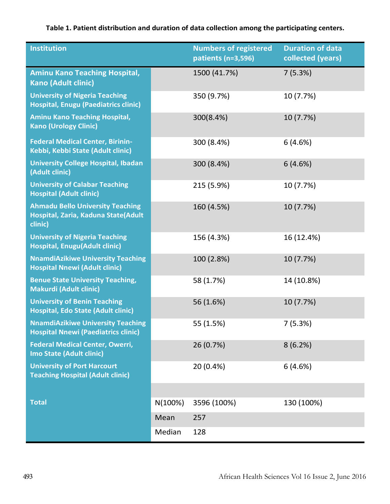# **Table 1. Patient distribution and duration of data collection among the participating centers.**

| <b>Institution</b>                                                                        |         | <b>Numbers of registered</b><br>patients (n=3,596) | <b>Duration of data</b><br>collected (years) |
|-------------------------------------------------------------------------------------------|---------|----------------------------------------------------|----------------------------------------------|
| <b>Aminu Kano Teaching Hospital,</b><br><b>Kano (Adult clinic)</b>                        |         | 1500 (41.7%)                                       | 7(5.3%)                                      |
| <b>University of Nigeria Teaching</b><br><b>Hospital, Enugu (Paediatrics clinic)</b>      |         | 350 (9.7%)                                         | 10 (7.7%)                                    |
| <b>Aminu Kano Teaching Hospital,</b><br><b>Kano (Urology Clinic)</b>                      |         | 300(8.4%)                                          | 10 (7.7%)                                    |
| <b>Federal Medical Center, Birinin-</b><br>Kebbi, Kebbi State (Adult clinic)              |         | 300 (8.4%)                                         | 6(4.6%)                                      |
| <b>University College Hospital, Ibadan</b><br>(Adult clinic)                              |         | 300 (8.4%)                                         | 6(4.6%)                                      |
| <b>University of Calabar Teaching</b><br><b>Hospital (Adult clinic)</b>                   |         | 215 (5.9%)                                         | 10 (7.7%)                                    |
| <b>Ahmadu Bello University Teaching</b><br>Hospital, Zaria, Kaduna State(Adult<br>clinic) |         | 160 (4.5%)                                         | 10 (7.7%)                                    |
| <b>University of Nigeria Teaching</b><br><b>Hospital, Enugu(Adult clinic)</b>             |         | 156 (4.3%)                                         | 16 (12.4%)                                   |
| <b>NnamdiAzikiwe University Teaching</b><br><b>Hospital Nnewi (Adult clinic)</b>          |         | 100 (2.8%)                                         | 10 (7.7%)                                    |
| <b>Benue State University Teaching,</b><br><b>Makurdi (Adult clinic)</b>                  |         | 58 (1.7%)                                          | 14 (10.8%)                                   |
| <b>University of Benin Teaching</b><br>Hospital, Edo State (Adult clinic)                 |         | 56 (1.6%)                                          | 10 (7.7%)                                    |
| <b>NnamdiAzikiwe University Teaching</b><br><b>Hospital Nnewi (Paediatrics clinic)</b>    |         | 55 (1.5%)                                          | 7(5.3%)                                      |
| <b>Federal Medical Center, Owerri,</b><br>Imo State (Adult clinic)                        |         | 26 (0.7%)                                          | 8(6.2%)                                      |
| <b>University of Port Harcourt</b><br><b>Teaching Hospital (Adult clinic)</b>             |         | 20 (0.4%)                                          | 6(4.6%)                                      |
|                                                                                           |         |                                                    |                                              |
| <b>Total</b>                                                                              | N(100%) | 3596 (100%)                                        | 130 (100%)                                   |
|                                                                                           | Mean    | 257                                                |                                              |
|                                                                                           | Median  | 128                                                |                                              |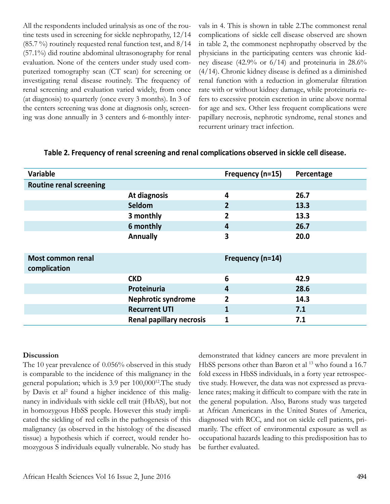All the respondents included urinalysis as one of the routine tests used in screening for sickle nephropathy, 12/14  $(85.7 \%)$  routinely requested renal function test, and  $8/14$ (57.1%) did routine abdominal ultrasonography for renal evaluation. None of the centers under study used computerized tomography scan (CT scan) for screening or investigating renal disease routinely. The frequency of renal screening and evaluation varied widely, from once (at diagnosis) to quarterly (once every 3 months). In 3 of the centers screening was done at diagnosis only, screening was done annually in 3 centers and 6-monthly intervals in 4. This is shown in table 2.The commonest renal complications of sickle cell disease observed are shown in table 2, the commonest nephropathy observed by the physicians in the participating centers was chronic kidney disease (42.9% or 6/14) and proteinuria in 28.6% (4/14). Chronic kidney disease is defined as a diminished renal function with a reduction in glomerular filtration rate with or without kidney damage, while proteinuria refers to excessive protein excretion in urine above normal for age and sex. Other less frequent complications were papillary necrosis, nephrotic syndrome, renal stones and recurrent urinary tract infection.

| Variable                       |                                 | Frequency (n=15) | Percentage |
|--------------------------------|---------------------------------|------------------|------------|
| <b>Routine renal screening</b> |                                 |                  |            |
|                                | At diagnosis                    | 4                | 26.7       |
|                                | Seldom                          | $\overline{2}$   | 13.3       |
|                                | 3 monthly                       | 2                | 13.3       |
|                                | 6 monthly                       | 4                | 26.7       |
|                                | <b>Annually</b>                 | 3                | 20.0       |
|                                |                                 |                  |            |
| <b>Most common renal</b>       |                                 | Frequency (n=14) |            |
| complication                   |                                 |                  |            |
|                                | <b>CKD</b>                      | 6                | 42.9       |
|                                | Proteinuria                     | 4                | 28.6       |
|                                | <b>Nephrotic syndrome</b>       | $\overline{2}$   | 14.3       |
|                                | <b>Recurrent UTI</b>            | 1                | 7.1        |
|                                | <b>Renal papillary necrosis</b> | $\mathbf{1}$     | 7.1        |

### **Discussion**

The 10 year prevalence of 0.056% observed in this study is comparable to the incidence of this malignancy in the general population; which is 3.9 per 100,000<sup>12</sup>. The study by Davis et al<sup>2</sup> found a higher incidence of this malignancy in individuals with sickle cell trait (HbAS), but not in homozygous HbSS people. However this study implicated the sickling of red cells in the pathogenesis of this malignancy (as observed in the histology of the diseased tissue) a hypothesis which if correct, would render homozygous S individuals equally vulnerable. No study has

demonstrated that kidney cancers are more prevalent in HbSS persons other than Baron et al <sup>13</sup> who found a 16.7 fold excess in HbSS individuals, in a forty year retrospective study. However, the data was not expressed as prevalence rates; making it difficult to compare with the rate in the general population. Also, Barons study was targeted at African Americans in the United States of America, diagnosed with RCC, and not on sickle cell patients, primarily. The effect of environmental exposure as well as occupational hazards leading to this predisposition has to be further evaluated.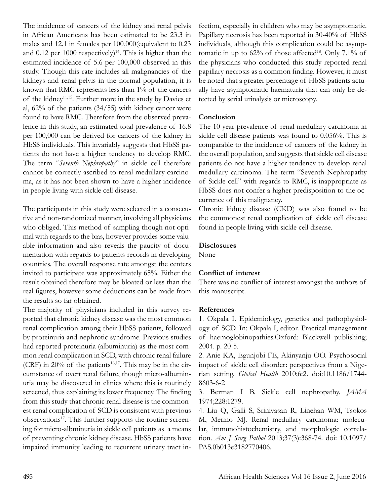The incidence of cancers of the kidney and renal pelvis in African Americans has been estimated to be 23.3 in males and 12.1 in females per 100,000(equivalent to 0.23 and 0.12 per 1000 respectively)<sup>14</sup>. This is higher than the estimated incidence of 5.6 per 100,000 observed in this study. Though this rate includes all malignancies of the kidneys and renal pelvis in the normal population, it is known that RMC represents less than 1% of the cancers of the kidney11,15. Further more in the study by Davies et al, 62% of the patients (34/55) with kidney cancer were found to have RMC. Therefore from the observed prevalence in this study, an estimated total prevalence of 16.8 per 100,000 can be derived for cancers of the kidney in HbSS individuals. This invariably suggests that HbSS patients do not have a higher tendency to develop RMC. The term "*Seventh Nephropathy*" in sickle cell therefore cannot be correctly ascribed to renal medullary carcinoma, as it has not been shown to have a higher incidence in people living with sickle cell disease.

The participants in this study were selected in a consecutive and non-randomized manner, involving all physicians who obliged. This method of sampling though not optimal with regards to the bias, however provides some valuable information and also reveals the paucity of documentation with regards to patients records in developing countries. The overall response rate amongst the centers invited to participate was approximately 65%. Either the result obtained therefore may be bloated or less than the real figures, however some deductions can be made from the results so far obtained.

The majority of physicians included in this survey reported that chronic kidney disease was the most common renal complication among their HbSS patients, followed by proteinuria and nephrotic syndrome. Previous studies had reported proteinuria (albuminuria) as the most common renal complication in SCD, with chronic renal failure (CRF) in  $20\%$  of the patients<sup>16,17</sup>. This may be in the circumstance of overt renal failure, though micro-albuminuria may be discovered in clinics where this is routinely screened, thus explaining its lower frequency. The finding from this study that chronic renal disease is the commonest renal complication of SCD is consistent with previous observations<sup>17</sup>. This further supports the routine screening for micro-albminuria in sickle cell patients as a means of preventing chronic kidney disease. HbSS patients have impaired immunity leading to recurrent urinary tract infection, especially in children who may be asymptomatic. Papillary necrosis has been reported in 30-40% of HbSS individuals, although this complication could be asymptomatic in up to  $62\%$  of those affected<sup>18</sup>. Only 7.1% of the physicians who conducted this study reported renal papillary necrosis as a common finding. However, it must be noted that a greater percentage of HbSS patients actually have asymptomatic haematuria that can only be detected by serial urinalysis or microscopy.

### **Conclusion**

The 10 year prevalence of renal medullary carcinoma in sickle cell disease patients was found to 0.056%. This is comparable to the incidence of cancers of the kidney in the overall population, and suggests that sickle cell disease patients do not have a higher tendency to develop renal medullary carcinoma. The term "Seventh Nephropathy of Sickle cell" with regards to RMC, is inappropriate as HbSS does not confer a higher predisposition to the occurrence of this malignancy.

Chronic kidney disease (CKD) was also found to be the commonest renal complication of sickle cell disease found in people living with sickle cell disease.

### **Disclosures**

None

### **Conflict of interest**

There was no conflict of interest amongst the authors of this manuscript.

#### **References**

1. Okpala I. Epidemiology, genetics and pathophysiology of SCD. In: Okpala I, editor. Practical management of haemoglobinopathies.Oxford: Blackwell publishing; 2004. p. 20-5.

2. Anie KA, Egunjobi FE, Akinyanju OO. Psychosocial impact of sickle cell disorder: perspectives from a Nigerian setting. *Global Health* 2010;6:2. doi:10.1186/1744- 8603-6-2

3. Berman I B. Sickle cell nephropathy. *JAMA*  1974;228:1279.

4. Liu Q, Galli S, Srinivasan R, Linehan WM, Tsokos M, Merino MJ. Renal medullary carcinoma: molecular, immunohistochemistry, and morphologic correlation. *Am J Surg Pathol* 2013;37(3):368-74. doi: 10.1097/ PAS.0b013e3182770406.